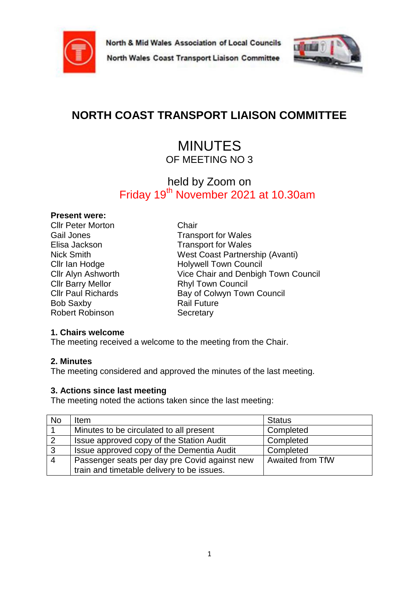

North Wales Coast Transport Liaison Committee



# **NORTH COAST TRANSPORT LIAISON COMMITTEE**

## MINUTES OF MEETING NO 3

## held by Zoom on Friday 19<sup>th</sup> November 2021 at 10.30am

## **Present were:**

Cllr Peter Morton Chair Bob Saxby **Rail Future** Robert Robinson Secretary

Gail Jones **Transport for Wales** Elisa Jackson Transport for Wales Nick Smith West Coast Partnership (Avanti) Cllr Ian Hodge Holywell Town Council Cllr Alyn Ashworth Vice Chair and Denbigh Town Council Cllr Barry Mellor Rhyl Town Council Cllr Paul Richards Bay of Colwyn Town Council

## **1. Chairs welcome**

The meeting received a welcome to the meeting from the Chair.

## **2. Minutes**

The meeting considered and approved the minutes of the last meeting.

## **3. Actions since last meeting**

The meeting noted the actions taken since the last meeting:

| No             | <b>Item</b>                                   | <b>Status</b>    |
|----------------|-----------------------------------------------|------------------|
|                | Minutes to be circulated to all present       | Completed        |
| $\overline{2}$ | Issue approved copy of the Station Audit      | Completed        |
| 3              | Issue approved copy of the Dementia Audit     | Completed        |
| -4             | Passenger seats per day pre Covid against new | Awaited from TfW |
|                | train and timetable delivery to be issues.    |                  |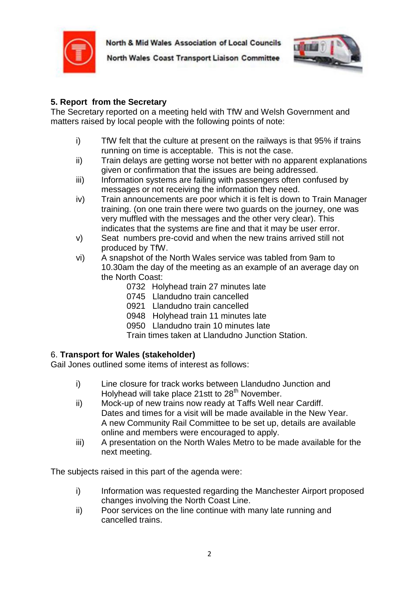

North Wales Coast Transport Liaison Committee



## **5. Report from the Secretary**

The Secretary reported on a meeting held with TfW and Welsh Government and matters raised by local people with the following points of note:

- i) TfW felt that the culture at present on the railways is that 95% if trains running on time is acceptable. This is not the case.
- ii) Train delays are getting worse not better with no apparent explanations given or confirmation that the issues are being addressed.
- iii) Information systems are failing with passengers often confused by messages or not receiving the information they need.
- iv) Train announcements are poor which it is felt is down to Train Manager training. (on one train there were two guards on the journey, one was very muffled with the messages and the other very clear). This indicates that the systems are fine and that it may be user error.
- v) Seat numbers pre-covid and when the new trains arrived still not produced by TfW.
- vi) A snapshot of the North Wales service was tabled from 9am to 10.30am the day of the meeting as an example of an average day on the North Coast:
	- 0732 Holyhead train 27 minutes late
	- 0745 Llandudno train cancelled
	- 0921 Llandudno train cancelled
	- 0948 Holyhead train 11 minutes late
	- 0950 Llandudno train 10 minutes late
	- Train times taken at Llandudno Junction Station.

## 6. **Transport for Wales (stakeholder)**

Gail Jones outlined some items of interest as follows:

- i) Line closure for track works between Llandudno Junction and Holyhead will take place 21stt to  $28<sup>th</sup>$  November.
- ii) Mock-up of new trains now ready at Taffs Well near Cardiff. Dates and times for a visit will be made available in the New Year. A new Community Rail Committee to be set up, details are available online and members were encouraged to apply.
- iii) A presentation on the North Wales Metro to be made available for the next meeting.

The subjects raised in this part of the agenda were:

- i) Information was requested regarding the Manchester Airport proposed changes involving the North Coast Line.
- ii) Poor services on the line continue with many late running and cancelled trains.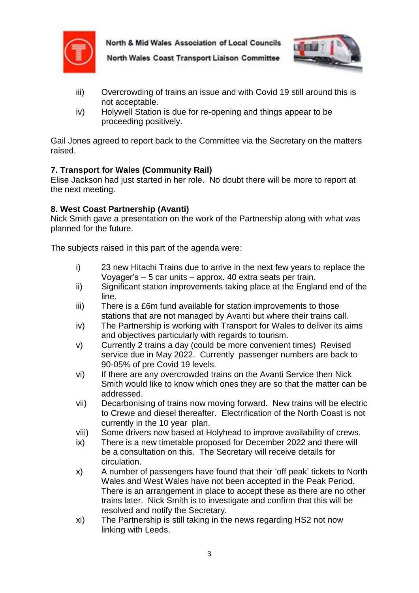



North Wales Coast Transport Liaison Committee

- iii) Overcrowding of trains an issue and with Covid 19 still around this is not acceptable.
- iv) Holywell Station is due for re-opening and things appear to be proceeding positively.

Gail Jones agreed to report back to the Committee via the Secretary on the matters raised.

## **7. Transport for Wales (Community Rail)**

Elise Jackson had just started in her role. No doubt there will be more to report at the next meeting.

## **8. West Coast Partnership (Avanti)**

Nick Smith gave a presentation on the work of the Partnership along with what was planned for the future.

The subjects raised in this part of the agenda were:

- i) 23 new Hitachi Trains due to arrive in the next few years to replace the Voyager's – 5 car units – approx. 40 extra seats per train.
- ii) Significant station improvements taking place at the England end of the line.
- iii) There is a £6m fund available for station improvements to those stations that are not managed by Avanti but where their trains call.
- iv) The Partnership is working with Transport for Wales to deliver its aims and objectives particularly with regards to tourism.
- v) Currently 2 trains a day (could be more convenient times) Revised service due in May 2022. Currently passenger numbers are back to 90-05% of pre Covid 19 levels.
- vi) If there are any overcrowded trains on the Avanti Service then Nick Smith would like to know which ones they are so that the matter can be addressed.
- vii) Decarbonising of trains now moving forward. New trains will be electric to Crewe and diesel thereafter. Electrification of the North Coast is not currently in the 10 year plan.
- viii) Some drivers now based at Holyhead to improve availability of crews.
- ix) There is a new timetable proposed for December 2022 and there will be a consultation on this. The Secretary will receive details for circulation.
- x) A number of passengers have found that their 'off peak' tickets to North Wales and West Wales have not been accepted in the Peak Period. There is an arrangement in place to accept these as there are no other trains later. Nick Smith is to investigate and confirm that this will be resolved and notify the Secretary.
- xi) The Partnership is still taking in the news regarding HS2 not now linking with Leeds.